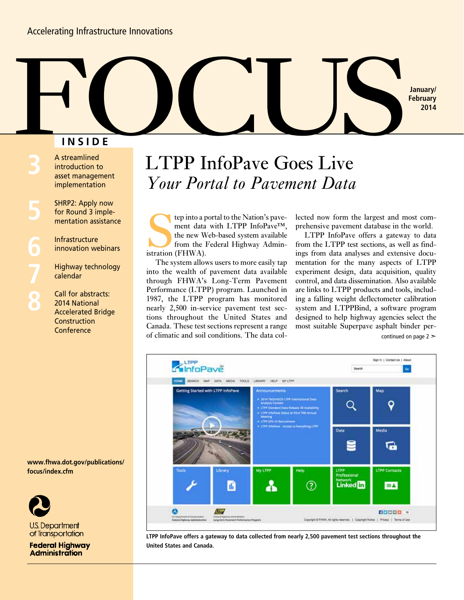### **INSIDE**

**6 8** A streamlined introduction to asset management implementation

SHRP2: Apply now for Round 3 implementation assistance

Infrastructure innovation webinars

Highway technology calendar

Call for abstracts: 2014 National Accelerated Bridge **Construction Conference** 

# LTPP InfoPave Goes Live *Your Portal to Pavement Data* **FOCUS**

tep into a portal to the Nation's pave-<br>ment data with LTPP InfoPave<sup>TM</sup>,<br>the new Web-based system available<br>from the Federal Highway Admin-<br>istration (FHWA). ment data with LTPP InfoPave™, the new Web-based system available from the Federal Highway Administration (FHWA).

The system allows users to more easily tap into the wealth of pavement data available through FHWA's Long-Term Pavement Performance (LTPP) program. Launched in 1987, the LTPP program has monitored nearly 2,500 in-service pavement test sections throughout the United States and Canada. These test sections represent a range of climatic and soil conditions. The data collected now form the largest and most comprehensive pavement database in the world.

**January/ February 2014**

LTPP InfoPave offers a gateway to data from the LTPP test sections, as well as findings from data analyses and extensive documentation for the many aspects of LTPP experiment design, data acquisition, quality control, and data dissemination. Also available are links to LTPP products and tools, including a falling weight deflectometer calibration system and LTPPBind, a software program designed to help highway agencies select the most suitable Superpave asphalt binder percontinued on page  $2 \geq 1$ 



**LTPP InfoPave offers a gateway to data collected from nearly 2,500 pavement test sections throughout the United States and Canada.** 

**www.fhwa.dot.gov/publications/ focus/index.cfm**



**U.S. Department** of Transportation

#### **Federal Highway Administration**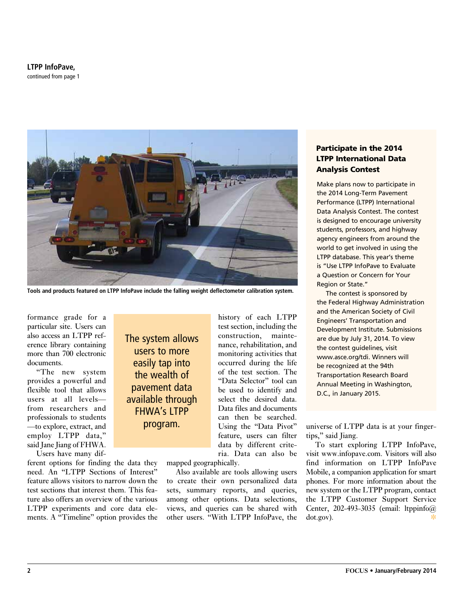**LTPP InfoPave,** continued from page 1



**Tools and products featured on LTPP InfoPave include the falling weight deflectometer calibration system.**

formance grade for a particular site. Users can also access an LTPP reference library containing more than 700 electronic documents.

"The new system provides a powerful and flexible tool that allows users at all levels from researchers and professionals to students —to explore, extract, and employ LTPP data," said Jane Jiang of FHWA.

Users have many dif-

ferent options for finding the data they need. An "LTPP Sections of Interest" feature allows visitors to narrow down the test sections that interest them. This feature also offers an overview of the various LTPP experiments and core data elements. A "Timeline" option provides the

The system allows users to more easily tap into the wealth of pavement data available through FHWA's LTPP

history of each LTPP test section, including the construction, maintenance, rehabilitation, and monitoring activities that occurred during the life of the test section. The "Data Selector" tool can be used to identify and select the desired data. Data files and documents can then be searched. Using the "Data Pivot" feature, users can filter data by different criteria. Data can also be

mapped geographically.

Also available are tools allowing users to create their own personalized data sets, summary reports, and queries, among other options. Data selections, views, and queries can be shared with other users. "With LTPP InfoPave, the

#### Participate in the 2014 LTPP International Data Analysis Contest

Make plans now to participate in the 2014 Long-Term Pavement Performance (LTPP) International Data Analysis Contest. The contest is designed to encourage university students, professors, and highway agency engineers from around the world to get involved in using the LTPP database. This year's theme is "Use LTPP InfoPave to Evaluate a Question or Concern for Your Region or State."

The contest is sponsored by the Federal Highway Administration and the American Society of Civil Engineers' Transportation and Development Institute. Submissions are due by July 31, 2014. To view the contest guidelines, visit www.asce.org/tdi. Winners will be recognized at the 94th Transportation Research Board Annual Meeting in Washington, D.C., in January 2015.

**program.** Using the "Data Pivot" universe of LTPP data is at your fingertips," said Jiang.

> To start exploring LTPP InfoPave, visit www.infopave.com. Visitors will also find information on LTPP InfoPave Mobile, a companion application for smart phones. For more information about the new system or the LTPP program, contact the LTPP Customer Support Service Center, 202-493-3035 (email: ltppinfo@ dot.gov).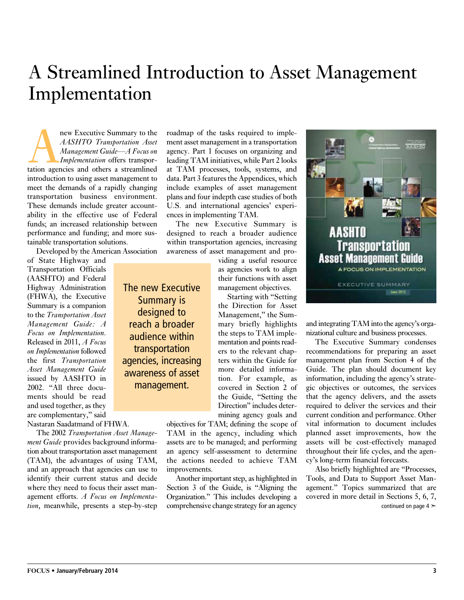## A Streamlined Introduction to Asset Management Implementation

new Executive Summary to the<br>
AASHTO Transportation Asset<br>
Management Guide—A Focus on<br>
Implementation offers transpor-<br>
tation agencies and others a streamlined *AASHTO Transportation Asset Management Guide—A Focus on Implementation* offers transporintroduction to using asset management to meet the demands of a rapidly changing transportation business environment. These demands include greater accountability in the effective use of Federal funds; an increased relationship between performance and funding; and more sustainable transportation solutions.

Developed by the American Association

The new Executive Summary is designed to reach a broader audience within transportation agencies, increasing awareness of asset management.

of State Highway and Transportation Officials (AASHTO) and Federal Highway Administration (FHWA), the Executive Summary is a companion to the *Transportation Asset Management Guide: A Focus on Implementation*. Released in 2011, *A Focus on Implementation* followed the first *Transportation Asset Management Guide*  issued by AASHTO in 2002. "All three documents should be read and used together, as they are complementary," said

Nastaran Saadatmand of FHWA.

The 2002 *Transportation Asset Management Guide* provides background information about transportation asset management (TAM), the advantages of using TAM, and an approach that agencies can use to identify their current status and decide where they need to focus their asset management efforts. *A Focus on Implementation*, meanwhile, presents a step-by-step roadmap of the tasks required to implement asset management in a transportation agency. Part 1 focuses on organizing and leading TAM initiatives, while Part 2 looks at TAM processes, tools, systems, and data. Part 3 features the Appendices, which include examples of asset management plans and four indepth case studies of both U.S. and international agencies' experiences in implementing TAM.

The new Executive Summary is designed to reach a broader audience within transportation agencies, increasing awareness of asset management and pro-

> viding a useful resource as agencies work to align their functions with asset management objectives.

Starting with "Setting the Direction for Asset Management," the Summary briefly highlights the steps to TAM implementation and points readers to the relevant chapters within the Guide for more detailed information. For example, as covered in Section 2 of the Guide, "Setting the Direction" includes determining agency goals and

objectives for TAM; defining the scope of TAM in the agency, including which assets are to be managed; and performing an agency self-assessment to determine the actions needed to achieve TAM improvements.

Another important step, as highlighted in Section 3 of the Guide, is "Aligning the Organization." This includes developing a comprehensive change strategy for an agency



and integrating TAM into the agency's organizational culture and business processes.

The Executive Summary condenses recommendations for preparing an asset management plan from Section 4 of the Guide. The plan should document key information, including the agency's strategic objectives or outcomes, the services that the agency delivers, and the assets required to deliver the services and their current condition and performance. Other vital information to document includes planned asset improvements, how the assets will be cost-effectively managed throughout their life cycles, and the agency's long-term financial forecasts.

Also briefly highlighted are "Processes, Tools, and Data to Support Asset Management." Topics summarized that are covered in more detail in Sections 5, 6, 7, continued on page  $4 \geq$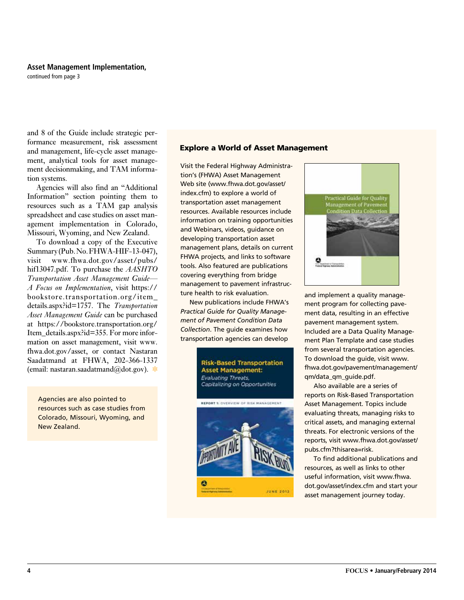#### **Asset Management Implementation,**

continued from page 3

and 8 of the Guide include strategic performance measurement, risk assessment and management, life-cycle asset management, analytical tools for asset management decisionmaking, and TAM information systems.

Agencies will also find an "Additional Information" section pointing them to resources such as a TAM gap analysis spreadsheet and case studies on asset management implementation in Colorado, Missouri, Wyoming, and New Zealand.

To download a copy of the Executive Summary (Pub. No. FHWA-HIF-13-047), visit www.fhwa.dot.gov/asset/pubs/ hif13047.pdf. To purchase the *AASHTO Transportation Asset Management Guide— A Focus on Implementation*, visit https:// bookstore.transportation.org/item\_ details.aspx?id=1757. The *Transportation Asset Management Guide* can be purchased at https://bookstore.transportation.org/ Item\_details.aspx?id=355. For more information on asset management, visit www. fhwa.dot.gov/asset, or contact Nastaran Saadatmand at FHWA, 202-366-1337 (email: nastaran.saadatmand@dot.gov).  $\ast$ 

Agencies are also pointed to resources such as case studies from Colorado, Missouri, Wyoming, and New Zealand.

#### Explore a World of Asset Management

Visit the Federal Highway Administration's (FHWA) Asset Management Web site (www.fhwa.dot.gov/asset/ index.cfm) to explore a world of transportation asset management resources. Available resources include information on training opportunities and Webinars, videos, guidance on developing transportation asset management plans, details on current FHWA projects, and links to software tools. Also featured are publications covering everything from bridge management to pavement infrastructure health to risk evaluation.

New publications include FHWA's *Practical Guide for Quality Management of Pavement Condition Data Collection*. The guide examines how transportation agencies can develop





and implement a quality management program for collecting pavement data, resulting in an effective pavement management system. Included are a Data Quality Management Plan Template and case studies from several transportation agencies. To download the guide, visit www. fhwa.dot.gov/pavement/management/ qm/data\_qm\_guide.pdf.

Also available are a series of reports on Risk-Based Transportation Asset Management. Topics include evaluating threats, managing risks to critical assets, and managing external threats. For electronic versions of the reports, visit www.fhwa.dot.gov/asset/ pubs.cfm?thisarea=risk.

To find additional publications and resources, as well as links to other useful information, visit www.fhwa. dot.gov/asset/index.cfm and start your asset management journey today.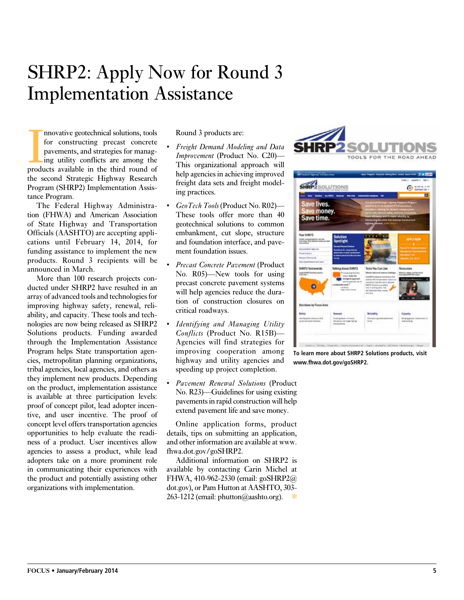## SHRP2: Apply Now for Round 3 Implementation Assistance

movative geotechnical solutions, tools<br>for constructing precast concrete<br>pavements, and strategies for manag-<br>ing utility conflicts are among the<br>products available in the third round of nnovative geotechnical solutions, tools for constructing precast concrete pavements, and strategies for managing utility conflicts are among the the second Strategic Highway Research Program (SHRP2) Implementation Assistance Program.

The Federal Highway Administration (FHWA) and American Association of State Highway and Transportation Officials (AASHTO) are accepting applications until February 14, 2014, for funding assistance to implement the new products. Round 3 recipients will be announced in March.

More than 100 research projects conducted under SHRP2 have resulted in an array of advanced tools and technologies for improving highway safety, renewal, reliability, and capacity. These tools and technologies are now being released as SHRP2 Solutions products. Funding awarded through the Implementation Assistance Program helps State transportation agencies, metropolitan planning organizations, tribal agencies, local agencies, and others as they implement new products. Depending on the product, implementation assistance is available at three participation levels: proof of concept pilot, lead adopter incentive, and user incentive. The proof of concept level offers transportation agencies opportunities to help evaluate the readiness of a product. User incentives allow agencies to assess a product, while lead adopters take on a more prominent role in communicating their experiences with the product and potentially assisting other organizations with implementation.

Round 3 products are:

- *Freight Demand Modeling and Data Improvement* (Product No. C20)— This organizational approach will help agencies in achieving improved freight data sets and freight modeling practices.
- • *GeoTech Tools* (Product No. R02)— These tools offer more than 40 geotechnical solutions to common embankment, cut slope, structure and foundation interface, and pavement foundation issues.
- *Precast Concrete Pavement* (Product No. R05)—New tools for using precast concrete pavement systems will help agencies reduce the duration of construction closures on critical roadways.
- *<i>Identifying and Managing Utility Conflicts* (Product No. R15B)— Agencies will find strategies for improving cooperation among highway and utility agencies and speeding up project completion.
- *Pavement Renewal Solutions* (Product No. R23)—Guidelines for using existing pavements in rapid construction will help extend pavement life and save money.

Online application forms, product details, tips on submitting an application, and other information are available at www. fhwa.dot.gov/goSHRP2.

Additional information on SHRP2 is available by contacting Carin Michel at FHWA, 410-962-2530 (email: goSHRP2@ dot.gov), or Pam Hutton at AASHTO, 303-  $263-1212$  (email: phutton@aashto.org).





**To learn more about SHRP2 Solutions products, visit www.fhwa.dot.gov/goshrp2.**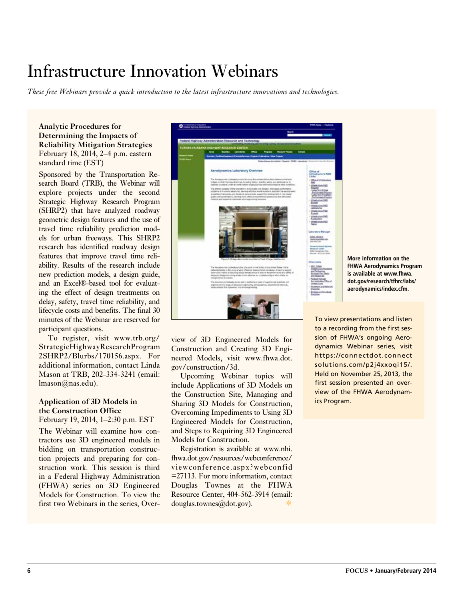## Infrastructure Innovation Webinars

*These free Webinars provide a quick introduction to the latest infrastructure innovations and technologies.* 

#### **Analytic Procedures for Determining the Impacts of Reliability Mitigation Strategies** February 18, 2014, 2–4 p.m. eastern standard time (EST)

Sponsored by the Transportation Research Board (TRB), the Webinar will explore projects under the second Strategic Highway Research Program (SHRP2) that have analyzed roadway geometric design features and the use of travel time reliability prediction models for urban freeways. This SHRP2 research has identified roadway design features that improve travel time reliability. Results of the research include new prediction models, a design guide, and an Excel®-based tool for evaluating the effect of design treatments on delay, safety, travel time reliability, and lifecycle costs and benefits. The final 30 minutes of the Webinar are reserved for participant questions.

To register, visit www.trb.org/ StrategicHighwayResearchProgram 2SHRP2/Blurbs/170156.aspx. For additional information, contact Linda Mason at TRB, 202-334-3241 (email: lmason@nas.edu).

#### **Application of 3D Models in the Construction Office**

February 19, 2014, 1–2:30 p.m. EST

The Webinar will examine how contractors use 3D engineered models in bidding on transportation construction projects and preparing for construction work. This session is third in a Federal Highway Administration (FHWA) series on 3D Engineered Models for Construction. To view the first two Webinars in the series, Over-



**More information on the FHWA Aerodynamics Program is available at www.fhwa. dot.gov/research/tfhrc/labs/ aerodynamics/index.cfm.**

view of 3D Engineered Models for Construction and Creating 3D Engineered Models, visit www.fhwa.dot. gov/construction/3d.

Upcoming Webinar topics will include Applications of 3D Models on the Construction Site, Managing and Sharing 3D Models for Construction, Overcoming Impediments to Using 3D Engineered Models for Construction, and Steps to Requiring 3D Engineered Models for Construction.

Registration is available at www.nhi. fhwa.dot.gov/resources/webconference/ viewconference.aspx?webconfid =27113. For more information, contact Douglas Townes at the FHWA Resource Center, 404-562-3914 (email: douglas.townes@dot.gov).

To view presentations and listen to a recording from the first session of FHWA's ongoing Aerodynamics Webinar series, visit https://connectdot.connect solutions.com/p2j4xxoqi15/. Held on November 25, 2013, the first session presented an overview of the FHWA Aerodynamics Program.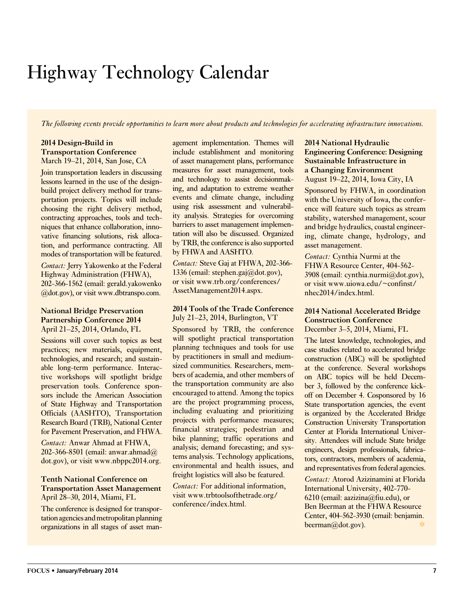## Highway Technology Calendar

*The following events provide opportunities to learn more about products and technologies for accelerating infrastructure innovations.*

#### **2014 Design-Build in Transportation Conference** March 19–21, 2014, San Jose, CA

Join transportation leaders in discussing lessons learned in the use of the designbuild project delivery method for transportation projects. Topics will include choosing the right delivery method, contracting approaches, tools and techniques that enhance collaboration, innovative financing solutions, risk allocation, and performance contracting. All modes of transportation will be featured.

*Contact:* Jerry Yakowenko at the Federal Highway Administration (FHWA), 202-366-1562 (email: gerald.yakowenko @dot.gov), or visit www.dbtranspo.com.

#### **National Bridge Preservation Partnership Conference 2014** April 21–25, 2014, Orlando, FL

Sessions will cover such topics as best practices; new materials, equipment, technologies, and research; and sustainable long-term performance. Interactive workshops will spotlight bridge preservation tools. Conference sponsors include the American Association of State Highway and Transportation Officials (AASHTO), Transportation Research Board (TRB), National Center for Pavement Preservation, and FHWA.

*Contact:* Anwar Ahmad at FHWA, 202-366-8501 (email: anwar.ahmad@ dot.gov), or visit www.nbppc2014.org.

#### **Tenth National Conference on Transportation Asset Management** April 28–30, 2014, Miami, FL

The conference is designed for transportation agencies and metropolitan planning organizations in all stages of asset management implementation. Themes will include establishment and monitoring of asset management plans, performance measures for asset management, tools and technology to assist decisionmaking, and adaptation to extreme weather events and climate change, including using risk assessment and vulnerability analysis. Strategies for overcoming barriers to asset management implementation will also be discussed. Organized by TRB, the conference is also supported by FHWA and AASHTO.

*Contact:* Steve Gaj at FHWA, 202-366- 1336 (email: stephen.gaj@dot.gov), or visit www.trb.org/conferences/ AssetManagement2014.aspx.

#### **2014 Tools of the Trade Conference** July 21–23, 2014, Burlington, VT

Sponsored by TRB, the conference will spotlight practical transportation planning techniques and tools for use by practitioners in small and mediumsized communities. Researchers, members of academia, and other members of the transportation community are also encouraged to attend. Among the topics are the project programming process, including evaluating and prioritizing projects with performance measures; financial strategies; pedestrian and bike planning; traffic operations and analysis; demand forecasting; and systems analysis. Technology applications, environmental and health issues, and freight logistics will also be featured.

*Contact:* For additional information, visit www.trbtoolsofthetrade.org/ conference/index.html.

#### **2014 National Hydraulic Engineering Conference: Designing Sustainable Infrastructure in a Changing Environment** August 19–22, 2014, Iowa City, IA

Sponsored by FHWA, in coordination with the University of Iowa, the conference will feature such topics as stream stability, watershed management, scour and bridge hydraulics, coastal engineering, climate change, hydrology, and asset management.

*Contact:* Cynthia Nurmi at the FHWA Resource Center, 404-562- 3908 (email: cynthia.nurmi@dot.gov), or visit www.uiowa.edu/~confinst/ nhec2014/index.html.

#### **2014 National Accelerated Bridge Construction Conference**

December 3–5, 2014, Miami, FL

The latest knowledge, technologies, and case studies related to accelerated bridge construction (ABC) will be spotlighted at the conference. Several workshops on ABC topics will be held December 3, followed by the conference kickoff on December 4. Cosponsored by 16 State transportation agencies, the event is organized by the Accelerated Bridge Construction University Transportation Center at Florida International University. Attendees will include State bridge engineers, design professionals, fabricators, contractors, members of academia, and representatives from federal agencies.

*Contact:* Atorod Azizinamini at Florida International University, 402-770- 6210 (email: aazizina@fiu.edu), or Ben Beerman at the FHWA Resource Center, 404-562-3930 (email: benjamin. beerman@dot.gov).